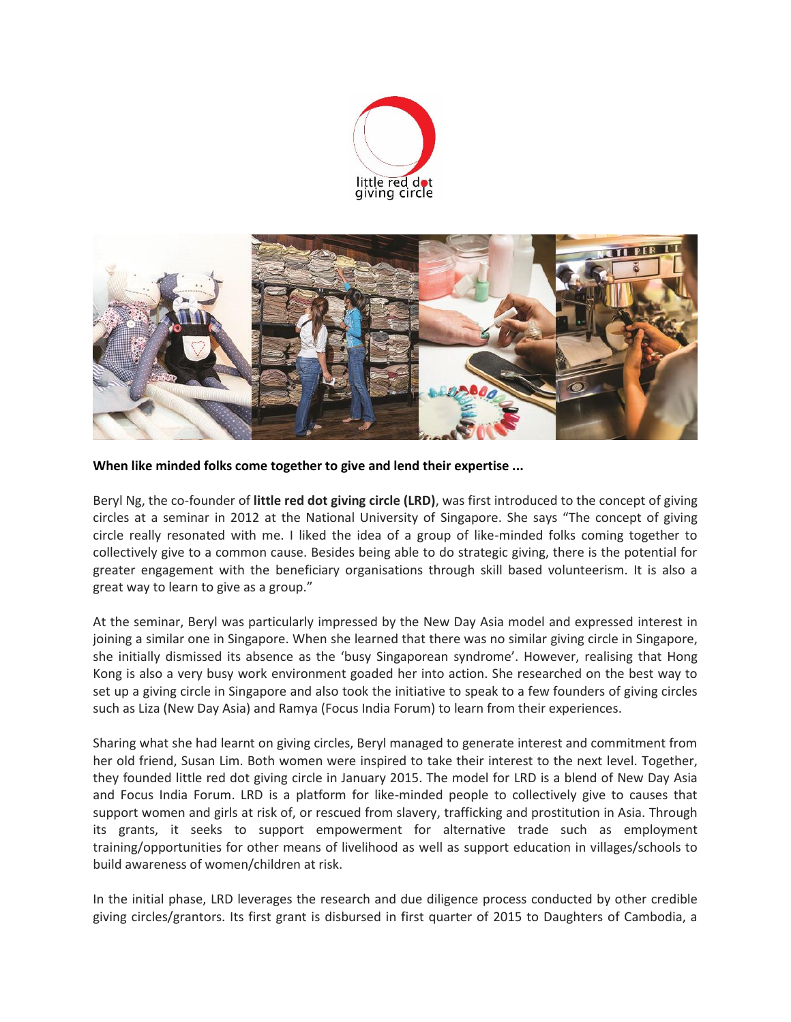



**When like minded folks come together to give and lend their expertise ...**

Beryl Ng, the co-founder of **little red dot giving circle (LRD)**, was first introduced to the concept of giving circles at a seminar in 2012 at the National University of Singapore. She says "The concept of giving circle really resonated with me. I liked the idea of a group of like-minded folks coming together to collectively give to a common cause. Besides being able to do strategic giving, there is the potential for greater engagement with the beneficiary organisations through skill based volunteerism. It is also a great way to learn to give as a group."

At the seminar, Beryl was particularly impressed by the New Day Asia model and expressed interest in joining a similar one in Singapore. When she learned that there was no similar giving circle in Singapore, she initially dismissed its absence as the 'busy Singaporean syndrome'. However, realising that Hong Kong is also a very busy work environment goaded her into action. She researched on the best way to set up a giving circle in Singapore and also took the initiative to speak to a few founders of giving circles such as Liza (New Day Asia) and Ramya (Focus India Forum) to learn from their experiences.

Sharing what she had learnt on giving circles, Beryl managed to generate interest and commitment from her old friend, Susan Lim. Both women were inspired to take their interest to the next level. Together, they founded little red dot giving circle in January 2015. The model for LRD is a blend of New Day Asia and Focus India Forum. LRD is a platform for like-minded people to collectively give to causes that support women and girls at risk of, or rescued from slavery, trafficking and prostitution in Asia. Through its grants, it seeks to support empowerment for alternative trade such as employment training/opportunities for other means of livelihood as well as support education in villages/schools to build awareness of women/children at risk.

In the initial phase, LRD leverages the research and due diligence process conducted by other credible giving circles/grantors. Its first grant is disbursed in first quarter of 2015 to Daughters of Cambodia, a